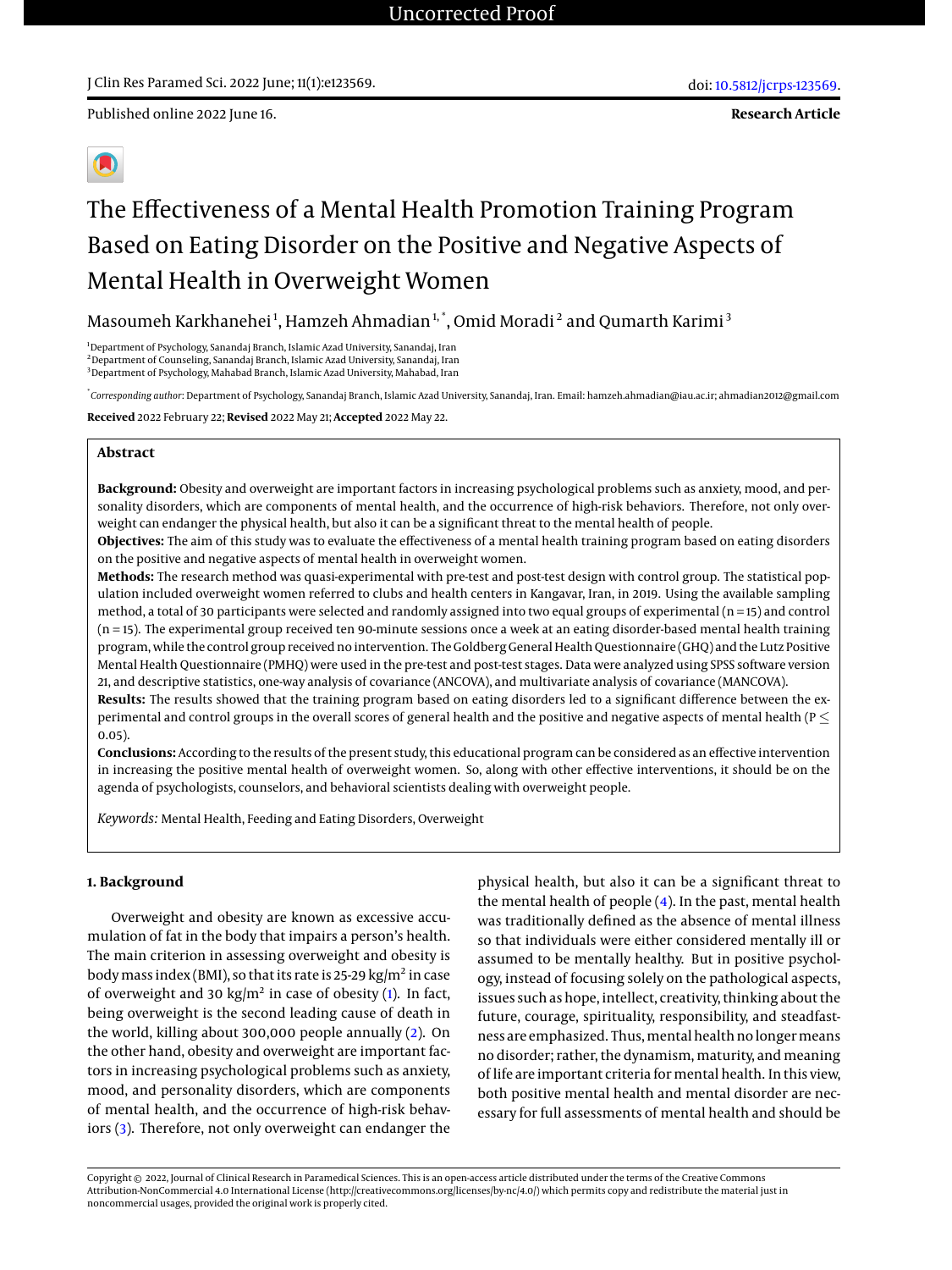**Research Article**



# The Effectiveness of a Mental Health Promotion Training Program Based on Eating Disorder on the Positive and Negative Aspects of Mental Health in Overweight Women

Masoumeh Karkhanehei<sup>1</sup>, Hamzeh Ahmadian<sup>1,</sup> \*, Omid Moradi<sup>2</sup> and Qumarth Karimi<sup>3</sup>

<sup>1</sup>Department of Psychology, Sanandaj Branch, Islamic Azad University, Sanandaj, Iran <sup>2</sup>Department of Counseling, Sanandaj Branch, Islamic Azad University, Sanandaj, Iran <sup>3</sup> Department of Psychology, Mahabad Branch, Islamic Azad University, Mahabad, Iran

\* *Corresponding author*: Department of Psychology, Sanandaj Branch, Islamic Azad University, Sanandaj, Iran. Email: hamzeh.ahmadian@iau.ac.ir; ahmadian2012@gmail.com

**Received** 2022 February 22; **Revised** 2022 May 21; **Accepted** 2022 May 22.

#### **Abstract**

**Background:** Obesity and overweight are important factors in increasing psychological problems such as anxiety, mood, and personality disorders, which are components of mental health, and the occurrence of high-risk behaviors. Therefore, not only overweight can endanger the physical health, but also it can be a significant threat to the mental health of people.

**Objectives:** The aim of this study was to evaluate the effectiveness of a mental health training program based on eating disorders on the positive and negative aspects of mental health in overweight women.

**Methods:** The research method was quasi-experimental with pre-test and post-test design with control group. The statistical population included overweight women referred to clubs and health centers in Kangavar, Iran, in 2019. Using the available sampling method, a total of 30 participants were selected and randomly assigned into two equal groups of experimental (n = 15) and control (n = 15). The experimental group received ten 90-minute sessions once a week at an eating disorder-based mental health training program, while the control group received no intervention. The Goldberg General Health Questionnaire (GHQ) and the Lutz Positive Mental Health Questionnaire (PMHQ) were used in the pre-test and post-test stages. Data were analyzed using SPSS software version 21, and descriptive statistics, one-way analysis of covariance (ANCOVA), and multivariate analysis of covariance (MANCOVA).

**Results:** The results showed that the training program based on eating disorders led to a significant difference between the experimental and control groups in the overall scores of general health and the positive and negative aspects of mental health ( $P \le$ 0.05).

**Conclusions:** According to the results of the present study, this educational program can be considered as an effective intervention in increasing the positive mental health of overweight women. So, along with other effective interventions, it should be on the agenda of psychologists, counselors, and behavioral scientists dealing with overweight people.

*Keywords:* Mental Health, Feeding and Eating Disorders, Overweight

## **1. Background**

Overweight and obesity are known as excessive accumulation of fat in the body that impairs a person's health. The main criterion in assessing overweight and obesity is body mass index (BMI), so that its rate is 25-29 kg/m<sup>2</sup> in case of overweight and 30  $\text{kg/m}^2$  in case of obesity [\(1\)](#page-6-0). In fact, being overweight is the second leading cause of death in the world, killing about 300,000 people annually [\(2\)](#page-6-1). On the other hand, obesity and overweight are important factors in increasing psychological problems such as anxiety, mood, and personality disorders, which are components of mental health, and the occurrence of high-risk behaviors [\(3\)](#page-6-2). Therefore, not only overweight can endanger the

physical health, but also it can be a significant threat to the mental health of people [\(4\)](#page-6-3). In the past, mental health was traditionally defined as the absence of mental illness so that individuals were either considered mentally ill or assumed to be mentally healthy. But in positive psychology, instead of focusing solely on the pathological aspects, issues such as hope, intellect, creativity, thinking about the future, courage, spirituality, responsibility, and steadfastness are emphasized. Thus, mental health no longer means no disorder; rather, the dynamism, maturity, and meaning of life are important criteria for mental health. In this view, both positive mental health and mental disorder are necessary for full assessments of mental health and should be

Copyright © 2022, Journal of Clinical Research in Paramedical Sciences. This is an open-access article distributed under the terms of the Creative Commons Attribution-NonCommercial 4.0 International License (http://creativecommons.org/licenses/by-nc/4.0/) which permits copy and redistribute the material just in noncommercial usages, provided the original work is properly cited.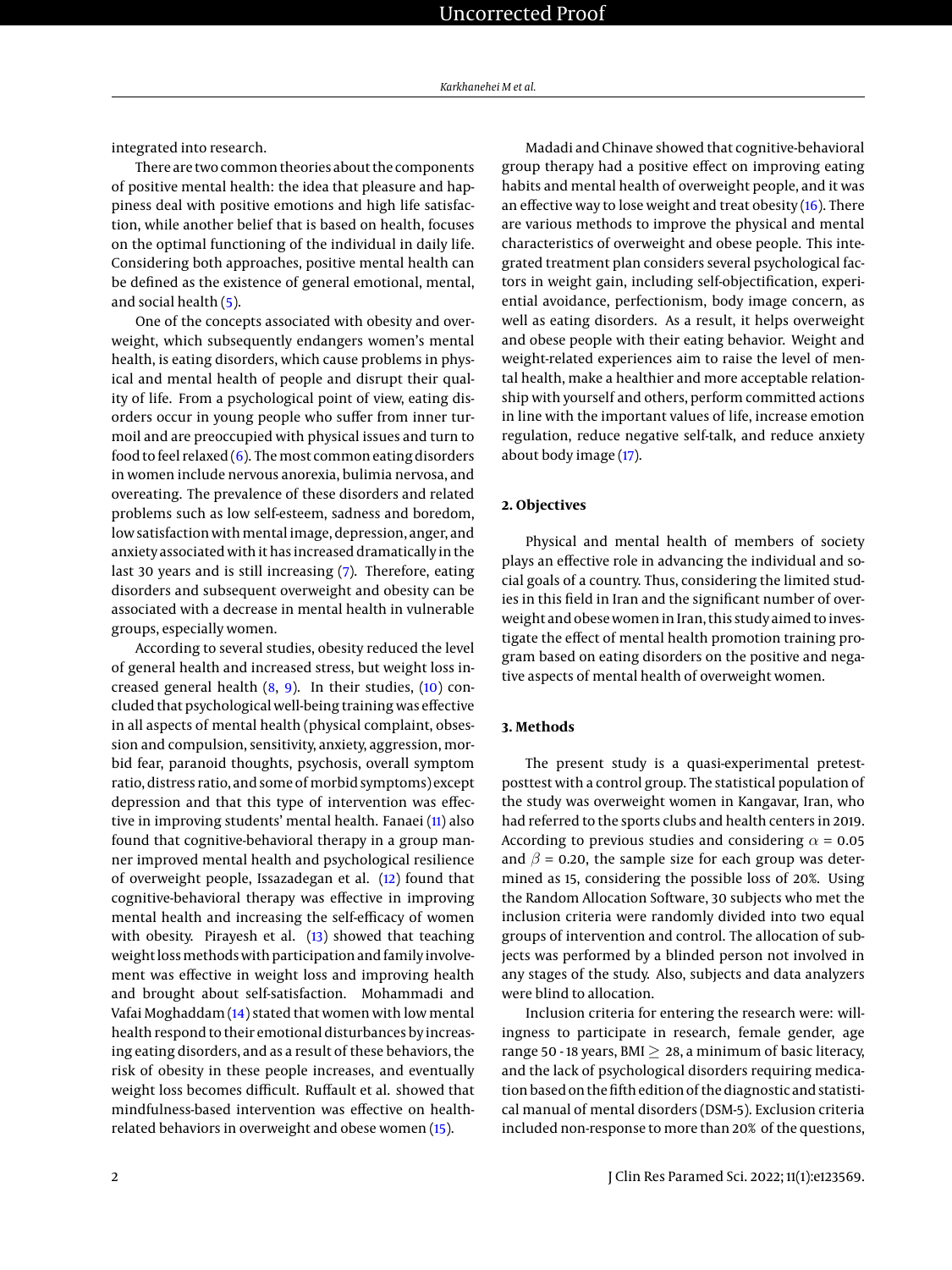integrated into research.

There are two common theories about the components of positive mental health: the idea that pleasure and happiness deal with positive emotions and high life satisfaction, while another belief that is based on health, focuses on the optimal functioning of the individual in daily life. Considering both approaches, positive mental health can be defined as the existence of general emotional, mental, and social health [\(5\)](#page-6-4).

One of the concepts associated with obesity and overweight, which subsequently endangers women's mental health, is eating disorders, which cause problems in physical and mental health of people and disrupt their quality of life. From a psychological point of view, eating disorders occur in young people who suffer from inner turmoil and are preoccupied with physical issues and turn to food to feel relaxed  $(6)$ . The most common eating disorders in women include nervous anorexia, bulimia nervosa, and overeating. The prevalence of these disorders and related problems such as low self-esteem, sadness and boredom, low satisfaction with mental image, depression, anger, and anxiety associated with it has increased dramatically in the last 30 years and is still increasing [\(7\)](#page-6-6). Therefore, eating disorders and subsequent overweight and obesity can be associated with a decrease in mental health in vulnerable groups, especially women.

According to several studies, obesity reduced the level of general health and increased stress, but weight loss increased general health  $(8, 9)$  $(8, 9)$  $(8, 9)$ . In their studies,  $(10)$  concluded that psychological well-being training was effective in all aspects of mental health (physical complaint, obsession and compulsion, sensitivity, anxiety, aggression, morbid fear, paranoid thoughts, psychosis, overall symptom ratio, distress ratio, and some of morbid symptoms) except depression and that this type of intervention was effective in improving students' mental health. Fanaei [\(11\)](#page-7-3) also found that cognitive-behavioral therapy in a group manner improved mental health and psychological resilience of overweight people, Issazadegan et al. [\(12\)](#page-7-4) found that cognitive-behavioral therapy was effective in improving mental health and increasing the self-efficacy of women with obesity. Pirayesh et al. [\(13\)](#page-7-5) showed that teaching weight lossmethods with participation and family involvement was effective in weight loss and improving health and brought about self-satisfaction. Mohammadi and Vafai Moghaddam [\(14\)](#page-7-6) stated that women with low mental health respond to their emotional disturbances by increasing eating disorders, and as a result of these behaviors, the risk of obesity in these people increases, and eventually weight loss becomes difficult. Ruffault et al. showed that mindfulness-based intervention was effective on healthrelated behaviors in overweight and obese women [\(15\)](#page-7-7).

Madadi and Chinave showed that cognitive-behavioral group therapy had a positive effect on improving eating habits and mental health of overweight people, and it was an effective way to lose weight and treat obesity  $(16)$ . There are various methods to improve the physical and mental characteristics of overweight and obese people. This integrated treatment plan considers several psychological factors in weight gain, including self-objectification, experiential avoidance, perfectionism, body image concern, as well as eating disorders. As a result, it helps overweight and obese people with their eating behavior. Weight and weight-related experiences aim to raise the level of mental health, make a healthier and more acceptable relationship with yourself and others, perform committed actions in line with the important values of life, increase emotion regulation, reduce negative self-talk, and reduce anxiety about body image [\(17\)](#page-7-9).

# **2. Objectives**

Physical and mental health of members of society plays an effective role in advancing the individual and social goals of a country. Thus, considering the limited studies in this field in Iran and the significant number of overweight and obese women in Iran, this study aimed to investigate the effect of mental health promotion training program based on eating disorders on the positive and negative aspects of mental health of overweight women.

#### **3. Methods**

The present study is a quasi-experimental pretestposttest with a control group. The statistical population of the study was overweight women in Kangavar, Iran, who had referred to the sports clubs and health centers in 2019. According to previous studies and considering  $\alpha$  = 0.05 and  $\beta$  = 0.20, the sample size for each group was determined as 15, considering the possible loss of 20%. Using the Random Allocation Software, 30 subjects who met the inclusion criteria were randomly divided into two equal groups of intervention and control. The allocation of subjects was performed by a blinded person not involved in any stages of the study. Also, subjects and data analyzers were blind to allocation.

Inclusion criteria for entering the research were: willingness to participate in research, female gender, age range 50 - 18 years, BMI  $\geq$  28, a minimum of basic literacy, and the lack of psychological disorders requiring medication based on the fifth edition of the diagnostic and statistical manual of mental disorders (DSM-5). Exclusion criteria included non-response to more than 20% of the questions,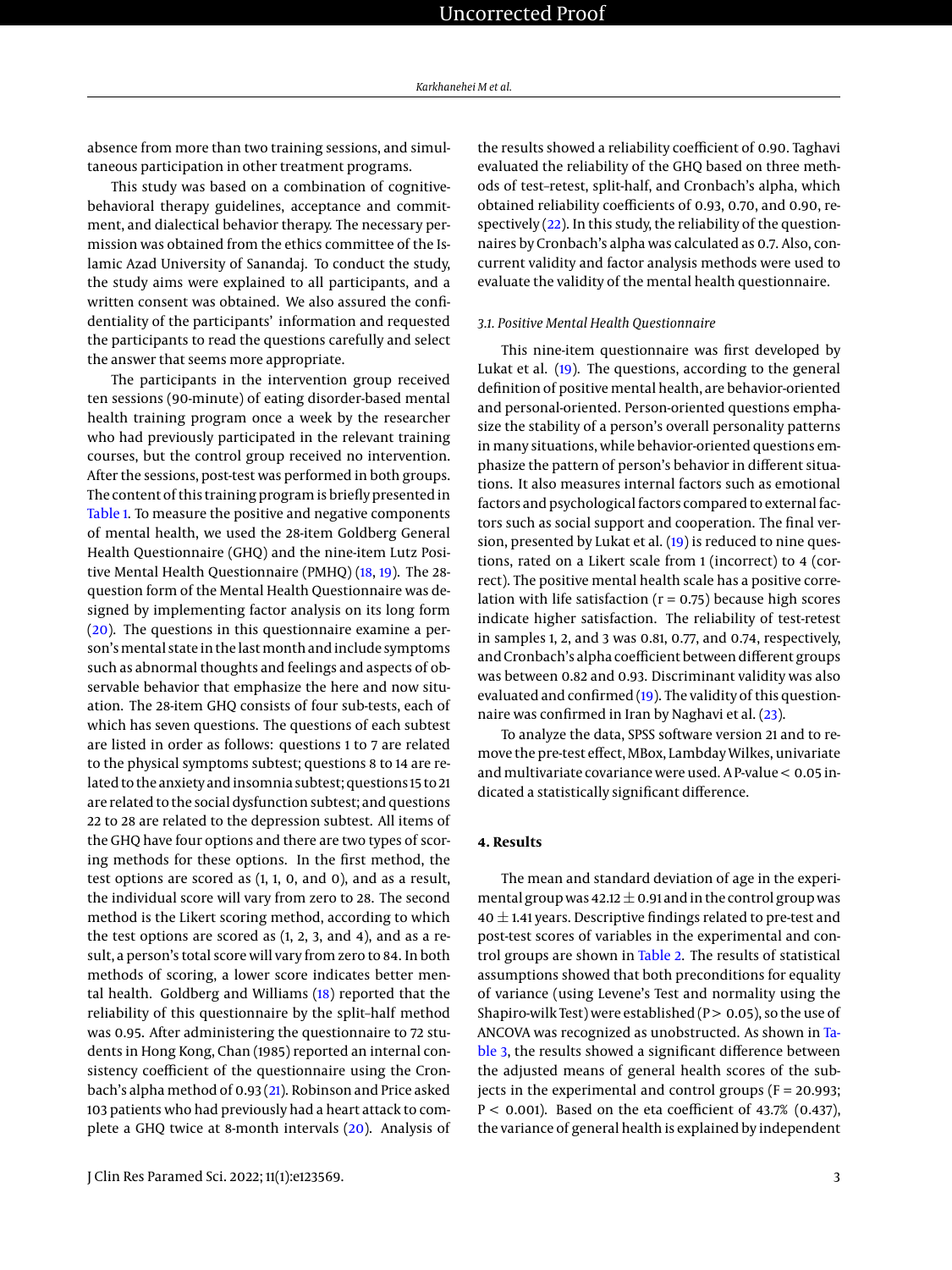absence from more than two training sessions, and simultaneous participation in other treatment programs.

This study was based on a combination of cognitivebehavioral therapy guidelines, acceptance and commitment, and dialectical behavior therapy. The necessary permission was obtained from the ethics committee of the Islamic Azad University of Sanandaj. To conduct the study, the study aims were explained to all participants, and a written consent was obtained. We also assured the confidentiality of the participants' information and requested the participants to read the questions carefully and select the answer that seems more appropriate.

The participants in the intervention group received ten sessions (90-minute) of eating disorder-based mental health training program once a week by the researcher who had previously participated in the relevant training courses, but the control group received no intervention. After the sessions, post-test was performed in both groups. The content of this training program is briefly presented in [Table 1.](#page-3-0) To measure the positive and negative components of mental health, we used the 28-item Goldberg General Health Questionnaire (GHQ) and the nine-item Lutz Positive Mental Health Questionnaire (PMHQ) [\(18,](#page-7-10) [19\)](#page-7-11). The 28 question form of the Mental Health Questionnaire was designed by implementing factor analysis on its long form [\(20\)](#page-7-12). The questions in this questionnaire examine a person's mental state in the last month and include symptoms such as abnormal thoughts and feelings and aspects of observable behavior that emphasize the here and now situation. The 28-item GHQ consists of four sub-tests, each of which has seven questions. The questions of each subtest are listed in order as follows: questions 1 to 7 are related to the physical symptoms subtest; questions 8 to 14 are related to the anxiety and insomnia subtest; questions 15 to 21 are related to the social dysfunction subtest; and questions 22 to 28 are related to the depression subtest. All items of the GHQ have four options and there are two types of scoring methods for these options. In the first method, the test options are scored as (1, 1, 0, and 0), and as a result, the individual score will vary from zero to 28. The second method is the Likert scoring method, according to which the test options are scored as (1, 2, 3, and 4), and as a result, a person's total score will vary from zero to 84. In both methods of scoring, a lower score indicates better mental health. Goldberg and Williams [\(18\)](#page-7-10) reported that the reliability of this questionnaire by the split–half method was 0.95. After administering the questionnaire to 72 students in Hong Kong, Chan (1985) reported an internal consistency coefficient of the questionnaire using the Cronbach's alpha method of 0.93 [\(21\)](#page-7-13). Robinson and Price asked 103 patients who had previously had a heart attack to complete a GHQ twice at 8-month intervals [\(20\)](#page-7-12). Analysis of

the results showed a reliability coefficient of 0.90. Taghavi evaluated the reliability of the GHQ based on three methods of test–retest, split-half, and Cronbach's alpha, which obtained reliability coefficients of 0.93, 0.70, and 0.90, respectively [\(22\)](#page-7-14). In this study, the reliability of the questionnaires by Cronbach's alpha was calculated as 0.7. Also, concurrent validity and factor analysis methods were used to evaluate the validity of the mental health questionnaire.

## *3.1. Positive Mental Health Questionnaire*

This nine-item questionnaire was first developed by Lukat et al. [\(19\)](#page-7-11). The questions, according to the general definition of positive mental health, are behavior-oriented and personal-oriented. Person-oriented questions emphasize the stability of a person's overall personality patterns in many situations, while behavior-oriented questions emphasize the pattern of person's behavior in different situations. It also measures internal factors such as emotional factors and psychological factors compared to external factors such as social support and cooperation. The final version, presented by Lukat et al. [\(19\)](#page-7-11) is reduced to nine questions, rated on a Likert scale from 1 (incorrect) to 4 (correct). The positive mental health scale has a positive correlation with life satisfaction ( $r = 0.75$ ) because high scores indicate higher satisfaction. The reliability of test-retest in samples 1, 2, and 3 was 0.81, 0.77, and 0.74, respectively, and Cronbach's alpha coefficient between different groups was between 0.82 and 0.93. Discriminant validity was also evaluated and confirmed [\(19\)](#page-7-11). The validity of this questionnaire was confirmed in Iran by Naghavi et al. [\(23\)](#page-7-15).

To analyze the data, SPSS software version 21 and to remove the pre-test effect, MBox, Lambday Wilkes, univariate and multivariate covariance were used. A P-value < 0.05 indicated a statistically significant difference.

### **4. Results**

The mean and standard deviation of age in the experimental group was  $42.12 \pm 0.91$  and in the control group was  $40 \pm 1.41$  years. Descriptive findings related to pre-test and post-test scores of variables in the experimental and control groups are shown in [Table 2.](#page-4-0) The results of statistical assumptions showed that both preconditions for equality of variance (using Levene's Test and normality using the Shapiro-wilk Test) were established ( $P > 0.05$ ), so the use of ANCOVA was recognized as unobstructed. As shown in [Ta](#page-4-1)[ble 3,](#page-4-1) the results showed a significant difference between the adjusted means of general health scores of the subjects in the experimental and control groups ( $F = 20.993$ ;  $P < 0.001$ ). Based on the eta coefficient of 43.7% (0.437), the variance of general health is explained by independent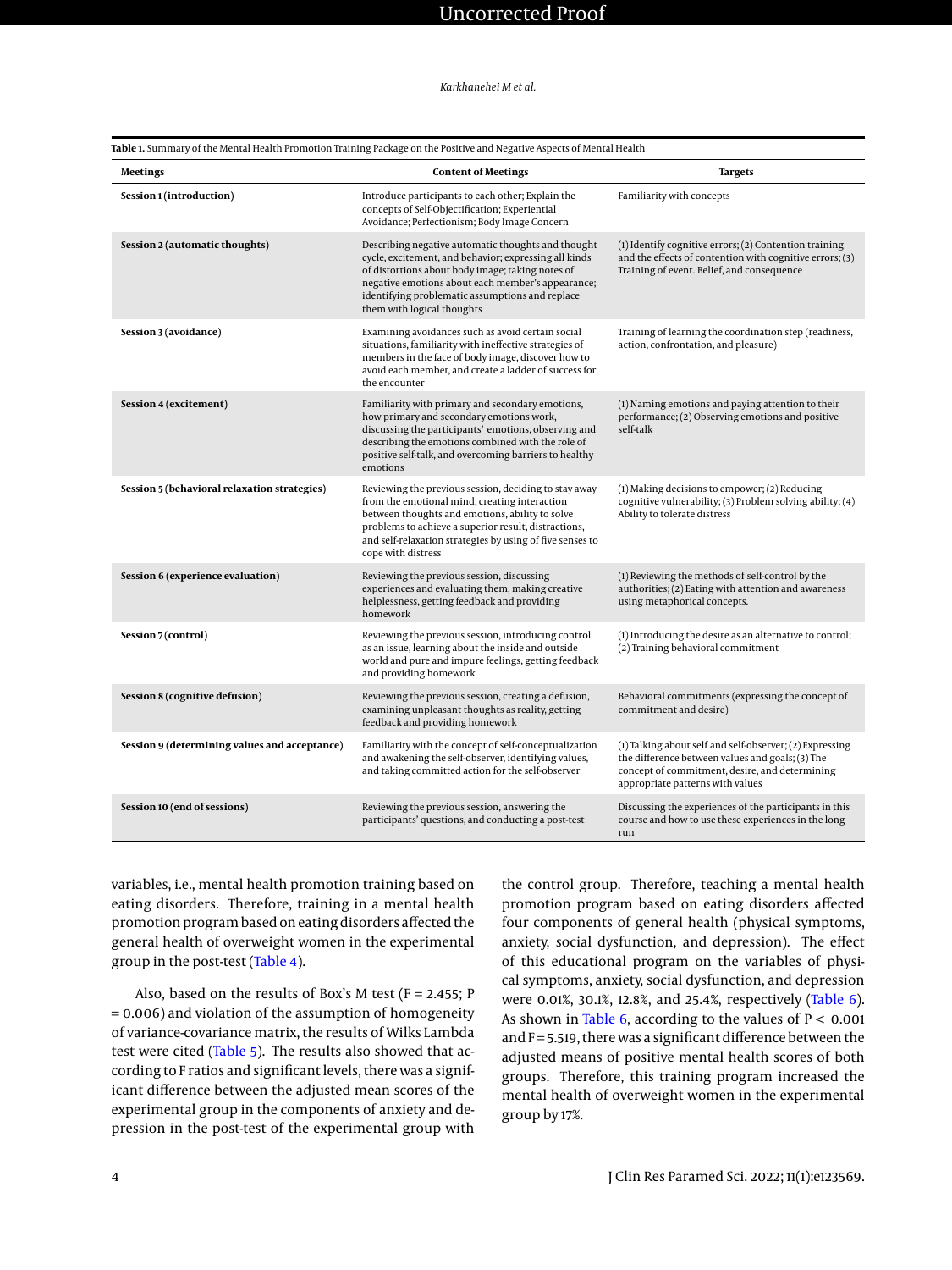<span id="page-3-0"></span>

|                                               | Table 1. Summary of the Mental Health Promotion Training Package on the Positive and Negative Aspects of Mental Health                                                                                                                                                                                |                                                                                                                                                                                                    |  |  |  |
|-----------------------------------------------|-------------------------------------------------------------------------------------------------------------------------------------------------------------------------------------------------------------------------------------------------------------------------------------------------------|----------------------------------------------------------------------------------------------------------------------------------------------------------------------------------------------------|--|--|--|
| Meetings                                      | <b>Content of Meetings</b>                                                                                                                                                                                                                                                                            | <b>Targets</b>                                                                                                                                                                                     |  |  |  |
| Session 1 (introduction)                      | Introduce participants to each other; Explain the<br>concepts of Self-Objectification; Experiential<br>Avoidance; Perfectionism; Body Image Concern                                                                                                                                                   | Familiarity with concepts                                                                                                                                                                          |  |  |  |
| Session 2 (automatic thoughts)                | Describing negative automatic thoughts and thought<br>cycle, excitement, and behavior; expressing all kinds<br>of distortions about body image; taking notes of<br>negative emotions about each member's appearance;<br>identifying problematic assumptions and replace<br>them with logical thoughts | (1) Identify cognitive errors; (2) Contention training<br>and the effects of contention with cognitive errors; (3)<br>Training of event. Belief, and consequence                                   |  |  |  |
| Session 3 (avoidance)                         | Examining avoidances such as avoid certain social<br>situations, familiarity with ineffective strategies of<br>members in the face of body image, discover how to<br>avoid each member, and create a ladder of success for<br>the encounter                                                           | Training of learning the coordination step (readiness,<br>action, confrontation, and pleasure)                                                                                                     |  |  |  |
| Session 4 (excitement)                        | Familiarity with primary and secondary emotions,<br>how primary and secondary emotions work,<br>discussing the participants' emotions, observing and<br>describing the emotions combined with the role of<br>positive self-talk, and overcoming barriers to healthy<br>emotions                       | (1) Naming emotions and paying attention to their<br>performance; (2) Observing emotions and positive<br>self-talk                                                                                 |  |  |  |
| Session 5 (behavioral relaxation strategies)  | Reviewing the previous session, deciding to stay away<br>from the emotional mind, creating interaction<br>between thoughts and emotions, ability to solve<br>problems to achieve a superior result, distractions,<br>and self-relaxation strategies by using of five senses to<br>cope with distress  | (1) Making decisions to empower; (2) Reducing<br>cognitive vulnerability; (3) Problem solving ability; (4)<br>Ability to tolerate distress                                                         |  |  |  |
| Session 6 (experience evaluation)             | Reviewing the previous session, discussing<br>experiences and evaluating them, making creative<br>helplessness, getting feedback and providing<br>homework                                                                                                                                            | (1) Reviewing the methods of self-control by the<br>authorities; (2) Eating with attention and awareness<br>using metaphorical concepts.                                                           |  |  |  |
| Session 7 (control)                           | Reviewing the previous session, introducing control<br>as an issue, learning about the inside and outside<br>world and pure and impure feelings, getting feedback<br>and providing homework                                                                                                           | (1) Introducing the desire as an alternative to control;<br>(2) Training behavioral commitment                                                                                                     |  |  |  |
| Session 8 (cognitive defusion)                | Reviewing the previous session, creating a defusion,<br>examining unpleasant thoughts as reality, getting<br>feedback and providing homework                                                                                                                                                          | Behavioral commitments (expressing the concept of<br>commitment and desire)                                                                                                                        |  |  |  |
| Session 9 (determining values and acceptance) | Familiarity with the concept of self-conceptualization<br>and awakening the self-observer, identifying values,<br>and taking committed action for the self-observer                                                                                                                                   | (1) Talking about self and self-observer; (2) Expressing<br>the difference between values and goals; (3) The<br>concept of commitment, desire, and determining<br>appropriate patterns with values |  |  |  |
| Session 10 (end of sessions)                  | Reviewing the previous session, answering the<br>participants' questions, and conducting a post-test                                                                                                                                                                                                  | Discussing the experiences of the participants in this<br>course and how to use these experiences in the long<br>run                                                                               |  |  |  |

variables, i.e., mental health promotion training based on eating disorders. Therefore, training in a mental health promotion program based on eating disorders affected the general health of overweight women in the experimental group in the post-test [\(Table 4\)](#page-5-0).

Also, based on the results of Box's M test ( $F = 2.455$ ; P = 0.006) and violation of the assumption of homogeneity of variance-covariance matrix, the results of Wilks Lambda test were cited [\(Table 5\)](#page-5-1). The results also showed that according to F ratios and significant levels, there was a significant difference between the adjusted mean scores of the experimental group in the components of anxiety and depression in the post-test of the experimental group with the control group. Therefore, teaching a mental health promotion program based on eating disorders affected four components of general health (physical symptoms, anxiety, social dysfunction, and depression). The effect of this educational program on the variables of physical symptoms, anxiety, social dysfunction, and depression were 0.01%, 30.1%, 12.8%, and 25.4%, respectively [\(Table 6\)](#page-5-2). As shown in [Table 6,](#page-5-2) according to the values of  $P < 0.001$ and  $F = 5.519$ , there was a significant difference between the adjusted means of positive mental health scores of both groups. Therefore, this training program increased the mental health of overweight women in the experimental group by 17%.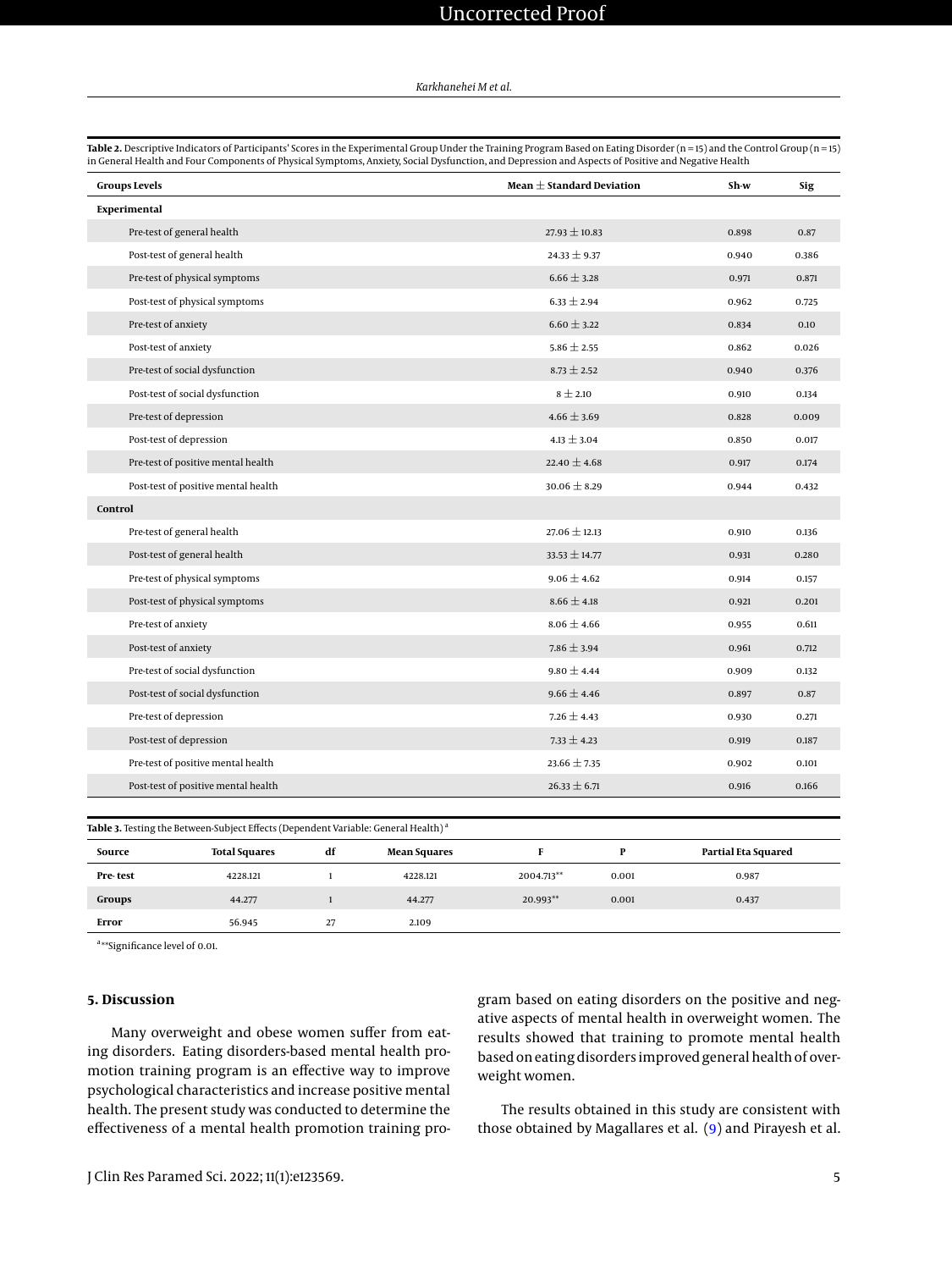# Uncorrected Proof

#### *Karkhanehei M et al.*

<span id="page-4-0"></span>**Table 2.** Descriptive Indicators of Participants' Scores in the Experimental Group Under the Training Program Based on Eating Disorder (n = 15) and the Control Group (n = 15) in General Health and Four Components of Physical Symptoms, Anxiety, Social Dysfunction, and Depression and Aspects of Positive and Negative Health

| <b>Groups Levels</b>    |                                                                                                       |    | Mean $\pm$ Standard Deviation |                   | Sh-w         | <b>Sig</b>          |       |
|-------------------------|-------------------------------------------------------------------------------------------------------|----|-------------------------------|-------------------|--------------|---------------------|-------|
| Experimental            |                                                                                                       |    |                               |                   |              |                     |       |
|                         | Pre-test of general health                                                                            |    |                               | $27.93 \pm 10.83$ |              | 0.898               | 0.87  |
|                         | Post-test of general health                                                                           |    |                               | $24.33 \pm 9.37$  |              | 0.940               | 0.386 |
|                         | Pre-test of physical symptoms                                                                         |    |                               | $6.66 \pm 3.28$   |              | 0.971               | 0.871 |
|                         | Post-test of physical symptoms                                                                        |    |                               | $6.33 \pm 2.94$   |              | 0.962               | 0.725 |
| Pre-test of anxiety     |                                                                                                       |    |                               | $6.60 \pm 3.22$   |              | 0.834               | 0.10  |
| Post-test of anxiety    |                                                                                                       |    |                               | $5.86 \pm 2.55$   |              | 0.862               | 0.026 |
|                         | Pre-test of social dysfunction                                                                        |    |                               | $8.73 \pm 2.52$   |              | 0.940               | 0.376 |
|                         | Post-test of social dysfunction                                                                       |    |                               | $8 \pm 2.10$      |              | 0.910               | 0.134 |
| Pre-test of depression  |                                                                                                       |    |                               | $4.66 \pm 3.69$   |              | 0.828               | 0.009 |
| Post-test of depression |                                                                                                       |    |                               | $4.13 \pm 3.04$   |              | 0.850               | 0.017 |
|                         | Pre-test of positive mental health                                                                    |    |                               | 22.40 $\pm$ 4.68  |              | 0.917               | 0.174 |
|                         | Post-test of positive mental health                                                                   |    |                               | $30.06 \pm 8.29$  |              | 0.944               | 0.432 |
| Control                 |                                                                                                       |    |                               |                   |              |                     |       |
|                         | Pre-test of general health                                                                            |    |                               | $27.06 \pm 12.13$ |              | 0.910               | 0.136 |
|                         | Post-test of general health                                                                           |    |                               | $33.53 \pm 14.77$ |              | 0.931               | 0.280 |
|                         | Pre-test of physical symptoms                                                                         |    |                               | $9.06 \pm 4.62$   |              | 0.914               | 0.157 |
|                         | Post-test of physical symptoms                                                                        |    |                               | $8.66 \pm 4.18$   |              | 0.921               | 0.201 |
| Pre-test of anxiety     |                                                                                                       |    |                               | $8.06 \pm 4.66$   |              | 0.955               | 0.611 |
| Post-test of anxiety    |                                                                                                       |    |                               | $7.86 \pm 3.94$   |              | 0.961               | 0.712 |
|                         | Pre-test of social dysfunction                                                                        |    |                               | $9.80 \pm 4.44$   |              | 0.909               | 0.132 |
|                         | Post-test of social dysfunction                                                                       |    |                               | $9.66 \pm 4.46$   |              | 0.897               | 0.87  |
| Pre-test of depression  |                                                                                                       |    |                               | $7.26 \pm 4.43$   |              | 0.930               | 0.271 |
| Post-test of depression |                                                                                                       |    |                               | $7.33 \pm 4.23$   |              | 0.919               | 0.187 |
|                         | Pre-test of positive mental health                                                                    |    |                               | $23.66 \pm 7.35$  |              | 0.902               | 0.101 |
|                         | Post-test of positive mental health                                                                   |    |                               | $26.33 \pm 6.71$  |              | 0.916               | 0.166 |
|                         |                                                                                                       |    |                               |                   |              |                     |       |
|                         | <b>Table 3.</b> Testing the Between-Subject Effects (Dependent Variable: General Health) <sup>a</sup> |    |                               |                   |              |                     |       |
| Source                  | <b>Total Squares</b>                                                                                  | df | <b>Mean Squares</b>           | F                 | $\mathbf{P}$ | Partial Eta Squared |       |

<span id="page-4-1"></span>**Pre- test** 4228.121 1 4228.121 4228.121 2004.713<sup>\*\*</sup> 0.001 0.987 **Groups** 44.277 1 44.277 44.277 20.993\*\* 0.001 0.437

a<sub>\*\*</sub>Significance level of 0.01.

#### **5. Discussion**

Many overweight and obese women suffer from eating disorders. Eating disorders-based mental health promotion training program is an effective way to improve psychological characteristics and increase positive mental health. The present study was conducted to determine the effectiveness of a mental health promotion training pro-

**Error** 56.945 27 2.109

gram based on eating disorders on the positive and negative aspects of mental health in overweight women. The results showed that training to promote mental health based on eating disorders improved general health of overweight women.

The results obtained in this study are consistent with those obtained by Magallares et al. [\(9\)](#page-7-1) and Pirayesh et al.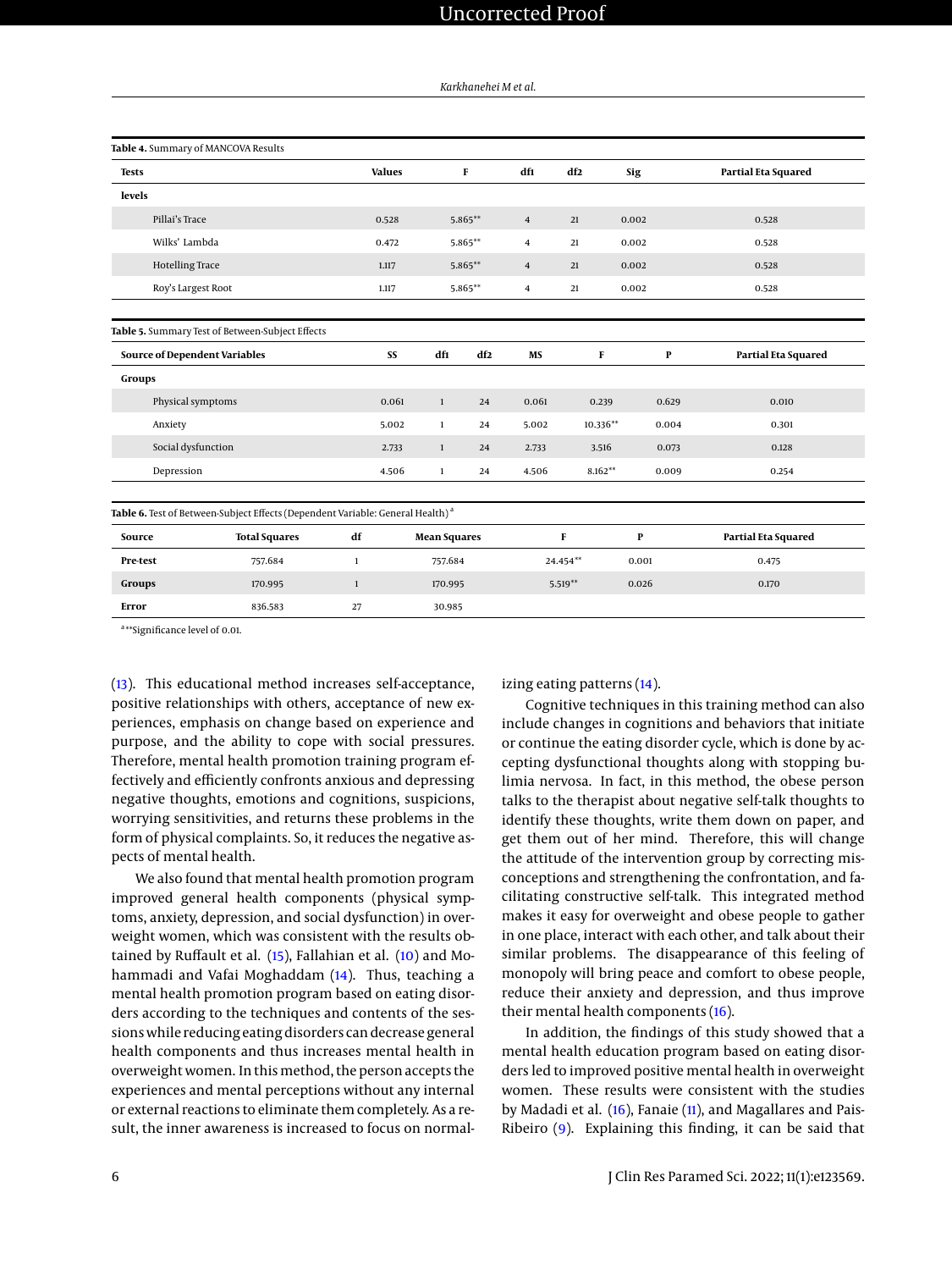*Karkhanehei M et al.*

<span id="page-5-1"></span><span id="page-5-0"></span>

|                        | Table 4. Summary of MANCOVA Results                                                        |               |       |                     |           |                |              |       |                     |
|------------------------|--------------------------------------------------------------------------------------------|---------------|-------|---------------------|-----------|----------------|--------------|-------|---------------------|
| <b>Tests</b>           |                                                                                            | <b>Values</b> |       |                     | F         | df1            | df2          | Sig   | Partial Eta Squared |
| levels                 |                                                                                            |               |       |                     |           |                |              |       |                     |
| Pillai's Trace         |                                                                                            | 0.528         |       |                     | 5.865**   | $\overline{4}$ | 21           | 0.002 | 0.528               |
| Wilks' Lambda          |                                                                                            | 0.472         |       |                     | 5.865**   | $\overline{4}$ | 21           | 0.002 | 0.528               |
| <b>Hotelling Trace</b> |                                                                                            | 1.117         |       |                     | $5.865**$ | $\overline{4}$ | 21           | 0.002 | 0.528               |
|                        | Roy's Largest Root                                                                         | 1.117         |       |                     | 5.865**   | $\overline{4}$ | 21           | 0.002 | 0.528               |
|                        | Table 5. Summary Test of Between-Subject Effects                                           |               |       |                     |           |                |              |       |                     |
|                        | <b>Source of Dependent Variables</b>                                                       |               | SS    | dfı                 | df2       | MS             | F            | P     | Partial Eta Squared |
| Groups                 |                                                                                            |               |       |                     |           |                |              |       |                     |
|                        | Physical symptoms                                                                          |               | 0.061 | $\mathbf{1}$        | 24        | 0.061          | 0.239        | 0.629 | 0.010               |
| Anxiety                |                                                                                            |               | 5.002 | $\mathbf{1}$        | 24        | 5.002          | 10.336**     | 0.004 | 0.301               |
|                        | Social dysfunction                                                                         |               | 2.733 | $\mathbf{1}$        | 24        | 2.733          | 3.516        | 0.073 | 0.128               |
| Depression             |                                                                                            |               | 4.506 | $\mathbf{1}$        | 24        | 4.506          | $8.162**$    | 0.009 | 0.254               |
|                        | Table 6. Test of Between-Subject Effects (Dependent Variable: General Health) <sup>a</sup> |               |       |                     |           |                |              |       |                     |
| Source                 | <b>Total Squares</b>                                                                       | df            |       | <b>Mean Squares</b> |           |                | $\mathbf{F}$ | P     | Partial Eta Squared |
| Pre-test               | 757.684                                                                                    | $\mathbf{1}$  |       | 757.684             |           |                | 24.454**     | 0.001 | 0.475               |
| Groups                 | 170.995                                                                                    | $\mathbf{1}$  |       | 170.995             |           |                | $5.519**$    | 0.026 | 0.170               |
| Error                  | 836.583                                                                                    | 27            |       | 30.985              |           |                |              |       |                     |

<span id="page-5-2"></span>a<sub>\*\*</sub>Significance level of 0.01.

[\(13\)](#page-7-5). This educational method increases self-acceptance, positive relationships with others, acceptance of new experiences, emphasis on change based on experience and purpose, and the ability to cope with social pressures. Therefore, mental health promotion training program effectively and efficiently confronts anxious and depressing negative thoughts, emotions and cognitions, suspicions, worrying sensitivities, and returns these problems in the form of physical complaints. So, it reduces the negative aspects of mental health.

We also found that mental health promotion program improved general health components (physical symptoms, anxiety, depression, and social dysfunction) in overweight women, which was consistent with the results obtained by Ruffault et al. [\(15\)](#page-7-7), Fallahian et al. [\(10\)](#page-7-2) and Mohammadi and Vafai Moghaddam [\(14\)](#page-7-6). Thus, teaching a mental health promotion program based on eating disorders according to the techniques and contents of the sessions while reducing eating disorders can decrease general health components and thus increases mental health in overweight women. In this method, the person accepts the experiences and mental perceptions without any internal or external reactions to eliminate them completely. As a result, the inner awareness is increased to focus on normalizing eating patterns [\(14\)](#page-7-6).

Cognitive techniques in this training method can also include changes in cognitions and behaviors that initiate or continue the eating disorder cycle, which is done by accepting dysfunctional thoughts along with stopping bulimia nervosa. In fact, in this method, the obese person talks to the therapist about negative self-talk thoughts to identify these thoughts, write them down on paper, and get them out of her mind. Therefore, this will change the attitude of the intervention group by correcting misconceptions and strengthening the confrontation, and facilitating constructive self-talk. This integrated method makes it easy for overweight and obese people to gather in one place, interact with each other, and talk about their similar problems. The disappearance of this feeling of monopoly will bring peace and comfort to obese people, reduce their anxiety and depression, and thus improve their mental health components [\(16\)](#page-7-8).

In addition, the findings of this study showed that a mental health education program based on eating disorders led to improved positive mental health in overweight women. These results were consistent with the studies by Madadi et al. [\(16\)](#page-7-8), Fanaie [\(11\)](#page-7-3), and Magallares and Pais-Ribeiro [\(9\)](#page-7-1). Explaining this finding, it can be said that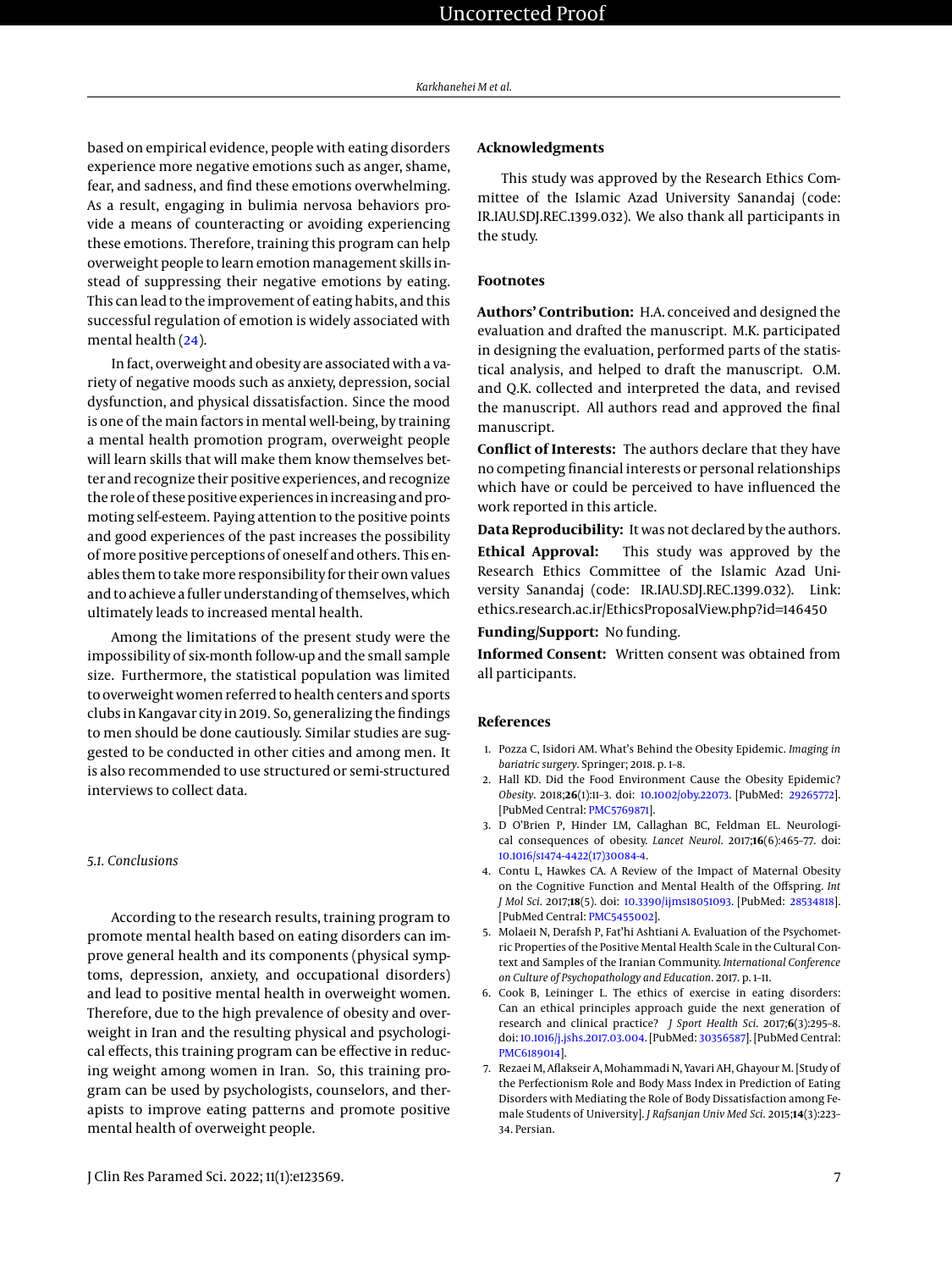based on empirical evidence, people with eating disorders experience more negative emotions such as anger, shame, fear, and sadness, and find these emotions overwhelming. As a result, engaging in bulimia nervosa behaviors provide a means of counteracting or avoiding experiencing these emotions. Therefore, training this program can help overweight people to learn emotion management skills instead of suppressing their negative emotions by eating. This can lead to the improvement of eating habits, and this successful regulation of emotion is widely associated with mental health [\(24\)](#page-7-16).

In fact, overweight and obesity are associated with a variety of negative moods such as anxiety, depression, social dysfunction, and physical dissatisfaction. Since the mood is one of the main factors in mental well-being, by training a mental health promotion program, overweight people will learn skills that will make them know themselves better and recognize their positive experiences, and recognize the role of these positive experiences in increasing and promoting self-esteem. Paying attention to the positive points and good experiences of the past increases the possibility of more positive perceptions of oneself and others. This enables them to takemore responsibility for their own values and to achieve a fuller understanding of themselves, which ultimately leads to increased mental health.

Among the limitations of the present study were the impossibility of six-month follow-up and the small sample size. Furthermore, the statistical population was limited to overweight women referred to health centers and sports clubs in Kangavar city in 2019. So, generalizing the findings to men should be done cautiously. Similar studies are suggested to be conducted in other cities and among men. It is also recommended to use structured or semi-structured interviews to collect data.

#### *5.1. Conclusions*

According to the research results, training program to promote mental health based on eating disorders can improve general health and its components (physical symptoms, depression, anxiety, and occupational disorders) and lead to positive mental health in overweight women. Therefore, due to the high prevalence of obesity and overweight in Iran and the resulting physical and psychological effects, this training program can be effective in reducing weight among women in Iran. So, this training program can be used by psychologists, counselors, and therapists to improve eating patterns and promote positive mental health of overweight people.

#### **Acknowledgments**

This study was approved by the Research Ethics Committee of the Islamic Azad University Sanandaj (code: IR.IAU.SDJ.REC.1399.032). We also thank all participants in the study.

#### **Footnotes**

**Authors' Contribution:** H.A. conceived and designed the evaluation and drafted the manuscript. M.K. participated in designing the evaluation, performed parts of the statistical analysis, and helped to draft the manuscript. O.M. and Q.K. collected and interpreted the data, and revised the manuscript. All authors read and approved the final manuscript.

**Conflict of Interests:** The authors declare that they have no competing financial interests or personal relationships which have or could be perceived to have influenced the work reported in this article.

**Data Reproducibility:** It was not declared by the authors.

**Ethical Approval:** This study was approved by the Research Ethics Committee of the Islamic Azad University Sanandaj (code: IR.IAU.SDJ.REC.1399.032). Link: ethics.research.ac.ir/EthicsProposalView.php?id=146450

# **Funding/Support:** No funding.

**Informed Consent:** Written consent was obtained from all participants.

#### **References**

- <span id="page-6-0"></span>1. Pozza C, Isidori AM. What's Behind the Obesity Epidemic. *Imaging in bariatric surgery*. Springer; 2018. p. 1–8.
- <span id="page-6-1"></span>2. Hall KD. Did the Food Environment Cause the Obesity Epidemic? *Obesity*. 2018;**26**(1):11–3. doi: [10.1002/oby.22073.](http://dx.doi.org/10.1002/oby.22073) [PubMed: [29265772\]](http://www.ncbi.nlm.nih.gov/pubmed/29265772). [PubMed Central: [PMC5769871\]](https://www.ncbi.nlm.nih.gov/pmc/articles/PMC5769871).
- <span id="page-6-2"></span>3. D O'Brien P, Hinder LM, Callaghan BC, Feldman EL. Neurological consequences of obesity. *Lancet Neurol*. 2017;**16**(6):465–77. doi: [10.1016/s1474-4422\(17\)30084-4.](http://dx.doi.org/10.1016/s1474-4422(17)30084-4)
- <span id="page-6-3"></span>4. Contu L, Hawkes CA. A Review of the Impact of Maternal Obesity on the Cognitive Function and Mental Health of the Offspring. *Int J Mol Sci*. 2017;**18**(5). doi: [10.3390/ijms18051093.](http://dx.doi.org/10.3390/ijms18051093) [PubMed: [28534818\]](http://www.ncbi.nlm.nih.gov/pubmed/28534818). [PubMed Central: [PMC5455002\]](https://www.ncbi.nlm.nih.gov/pmc/articles/PMC5455002).
- <span id="page-6-4"></span>5. Molaei1 N, Derafsh P, Fat'hi Ashtiani A. Evaluation of the Psychometric Properties of the Positive Mental Health Scale in the Cultural Context and Samples of the Iranian Community. *International Conference on Culture of Psychopathology and Education*. 2017. p. 1–11.
- <span id="page-6-5"></span>6. Cook B, Leininger L. The ethics of exercise in eating disorders: Can an ethical principles approach guide the next generation of research and clinical practice? *J Sport Health Sci*. 2017;**6**(3):295–8. doi: [10.1016/j.jshs.2017.03.004.](http://dx.doi.org/10.1016/j.jshs.2017.03.004) [PubMed: [30356587\]](http://www.ncbi.nlm.nih.gov/pubmed/30356587). [PubMed Central: [PMC6189014\]](https://www.ncbi.nlm.nih.gov/pmc/articles/PMC6189014).
- <span id="page-6-6"></span>7. Rezaei M, Aflakseir A, Mohammadi N, Yavari AH, Ghayour M. [Study of the Perfectionism Role and Body Mass Index in Prediction of Eating Disorders with Mediating the Role of Body Dissatisfaction among Female Students of University]. *J Rafsanjan Univ Med Sci*. 2015;**14**(3):223– 34. Persian.